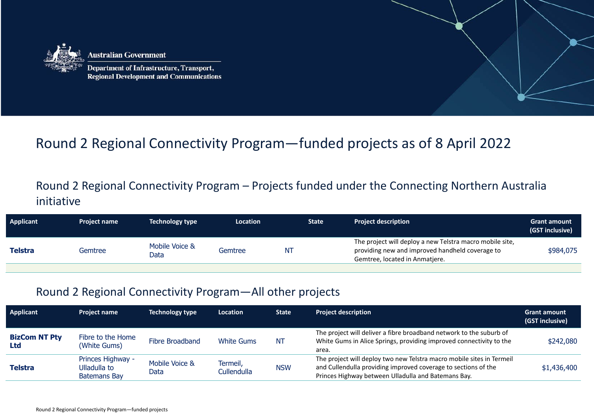

ustralian Government

Department of Infrastructure, Transport, **Regional Development and Communications** 

## Round 2 Regional Connectivity Program—funded projects as of 8 April 2022

## Round 2 Regional Connectivity Program – Projects funded under the Connecting Northern Australia initiative

| <b>Applicant</b> | <b>Project name</b> | <b>Technology type</b> | Location | <b>State</b> | <b>Project description</b>                                                                                                                    | <b>Grant amount</b><br>(GST inclusive) |
|------------------|---------------------|------------------------|----------|--------------|-----------------------------------------------------------------------------------------------------------------------------------------------|----------------------------------------|
| Telstra          | Gemtree             | Mobile Voice &<br>Data | Gemtree  | NT           | The project will deploy a new Telstra macro mobile site,<br>providing new and improved handheld coverage to<br>Gemtree, located in Anmatjere. | \$984,075                              |

## Round 2 Regional Connectivity Program—All other projects

| <b>Applicant</b>            | <b>Project name</b>                                      | <b>Technology type</b> | <b>Location</b>         | <b>State</b> | <b>Project description</b>                                                                                                                                                                     | <b>Grant amount</b><br>(GST inclusive) |
|-----------------------------|----------------------------------------------------------|------------------------|-------------------------|--------------|------------------------------------------------------------------------------------------------------------------------------------------------------------------------------------------------|----------------------------------------|
| <b>BizCom NT Pty</b><br>Ltd | Fibre to the Home<br>(White Gums)                        | Fibre Broadband        | <b>White Gums</b>       | <b>NT</b>    | The project will deliver a fibre broadband network to the suburb of<br>White Gums in Alice Springs, providing improved connectivity to the<br>area.                                            | \$242,080                              |
| <b>Telstra</b>              | Princes Highway -<br>Ulladulla to<br><b>Batemans Bay</b> | Mobile Voice &<br>Data | Termeil,<br>Cullendulla | <b>NSW</b>   | The project will deploy two new Telstra macro mobile sites in Termeil<br>and Cullendulla providing improved coverage to sections of the<br>Princes Highway between Ulladulla and Batemans Bay. | \$1,436,400                            |